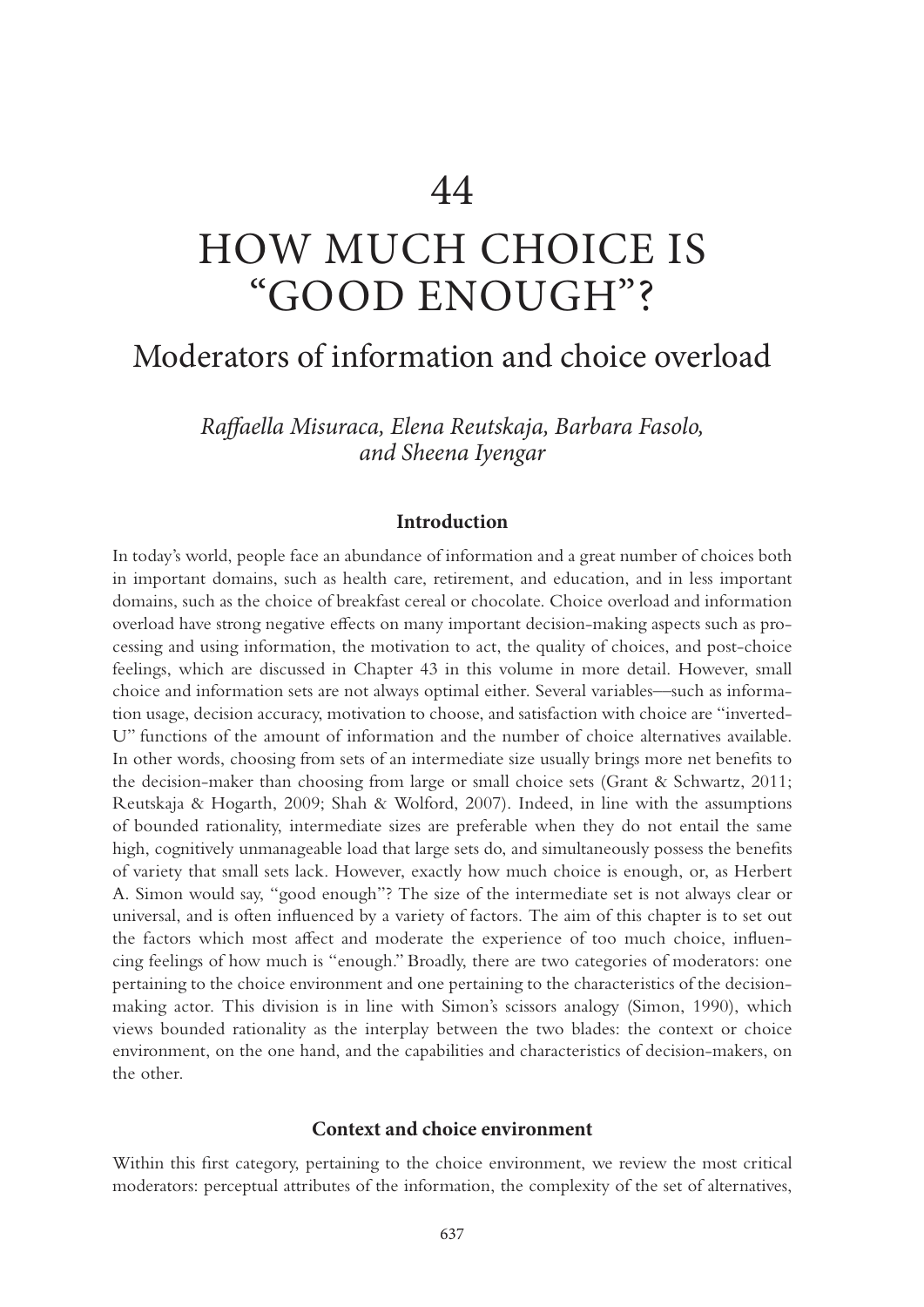# HOW MUCH CHOICE IS "GOOD ENOUGH"?

# Moderators of information and choice overload

*Raffaella Misuraca, Elena Reutskaja, Barbara Fasolo, and Sheena Iyengar*

# **Introduction**

In today's world, people face an abundance of information and a great number of choices both in important domains, such as health care, retirement, and education, and in less important domains, such as the choice of breakfast cereal or chocolate. Choice overload and information overload have strong negative effects on many important decision-making aspects such as processing and using information, the motivation to act, the quality of choices, and post-choice feelings, which are discussed in Chapter 43 in this volume in more detail. However, small choice and information sets are not always optimal either. Several variables––such as information usage, decision accuracy, motivation to choose, and satisfaction with choice are "inverted-U" functions of the amount of information and the number of choice alternatives available. In other words, choosing from sets of an intermediate size usually brings more net benefits to the decision-maker than choosing from large or small choice sets (Grant  $\&$  Schwartz, 2011; Reutskaja & Hogarth, 2009; Shah & Wolford, 2007). Indeed, in line with the assumptions of bounded rationality, intermediate sizes are preferable when they do not entail the same high, cognitively unmanageable load that large sets do, and simultaneously possess the benefits of variety that small sets lack. However, exactly how much choice is enough, or, as Herbert A. Simon would say, "good enough"? The size of the intermediate set is not always clear or universal, and is often influenced by a variety of factors. The aim of this chapter is to set out the factors which most affect and moderate the experience of too much choice, influencing feelings of how much is "enough." Broadly, there are two categories of moderators: one pertaining to the choice environment and one pertaining to the characteristics of the decisionmaking actor. This division is in line with Simon's scissors analogy (Simon, 1990), which views bounded rationality as the interplay between the two blades: the context or choice environment, on the one hand, and the capabilities and characteristics of decision-makers, on the other.

# **Context and choice environment**

Within this first category, pertaining to the choice environment, we review the most critical moderators: perceptual attributes of the information, the complexity of the set of alternatives,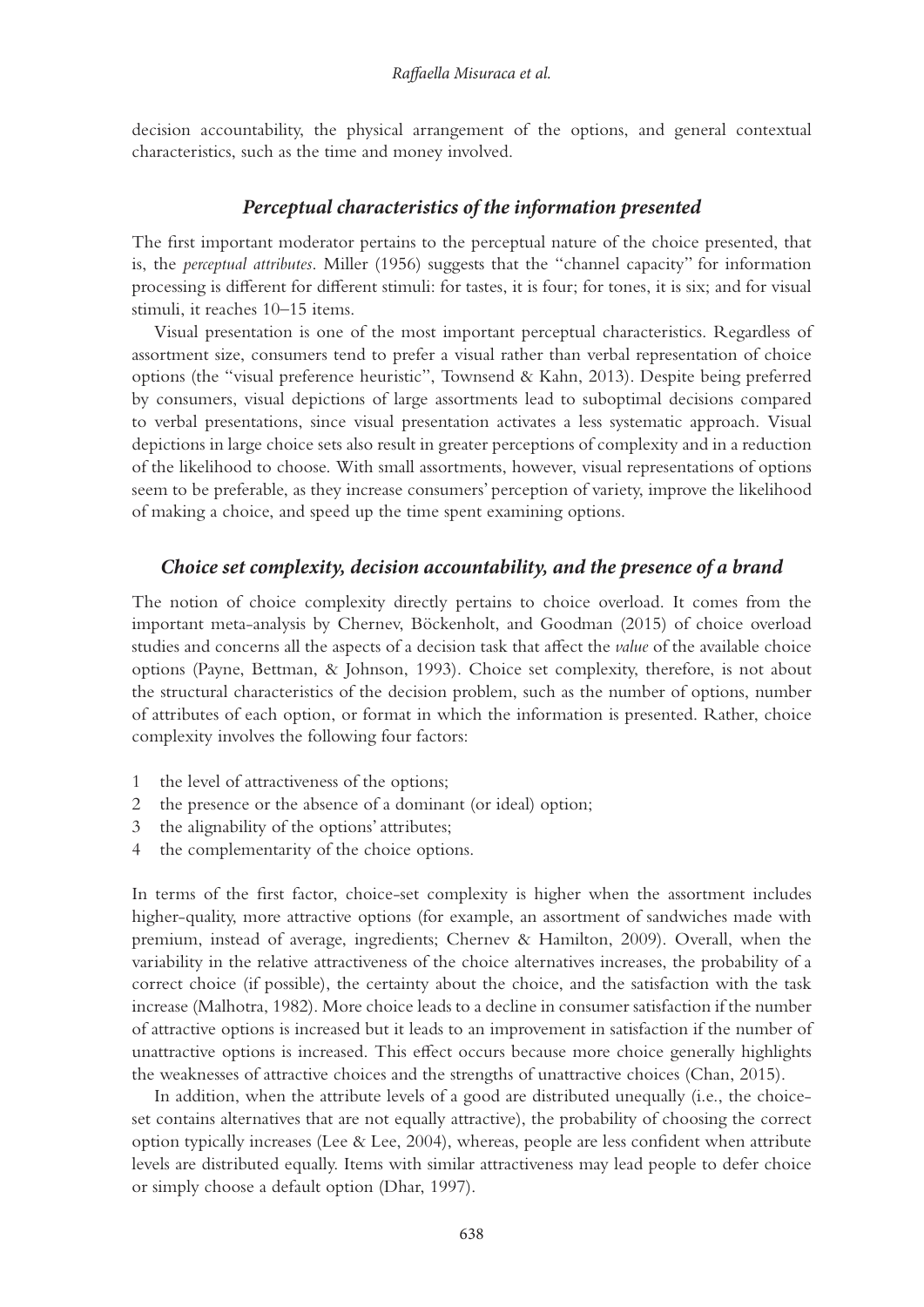decision accountability, the physical arrangement of the options, and general contextual characteristics, such as the time and money involved.

# *Perceptual characteristics of the information presented*

The first important moderator pertains to the perceptual nature of the choice presented, that is, the *perceptual attributes*. Miller (1956) suggests that the "channel capacity" for information processing is different for different stimuli: for tastes, it is four; for tones, it is six; and for visual stimuli, it reaches 10–15 items.

Visual presentation is one of the most important perceptual characteristics. Regardless of assortment size, consumers tend to prefer a visual rather than verbal representation of choice options (the "visual preference heuristic", Townsend & Kahn, 2013). Despite being preferred by consumers, visual depictions of large assortments lead to suboptimal decisions compared to verbal presentations, since visual presentation activates a less systematic approach. Visual depictions in large choice sets also result in greater perceptions of complexity and in a reduction of the likelihood to choose. With small assortments, however, visual representations of options seem to be preferable, as they increase consumers' perception of variety, improve the likelihood of making a choice, and speed up the time spent examining options.

## *Choice set complexity, decision accountability, and the presence of a brand*

The notion of choice complexity directly pertains to choice overload. It comes from the important meta-analysis by Chernev, Böckenholt, and Goodman (2015) of choice overload studies and concerns all the aspects of a decision task that affect the *value* of the available choice options (Payne, Bettman, & Johnson, 1993). Choice set complexity, therefore, is not about the structural characteristics of the decision problem, such as the number of options, number of attributes of each option, or format in which the information is presented. Rather, choice complexity involves the following four factors:

- 1 the level of attractiveness of the options;
- 2 the presence or the absence of a dominant (or ideal) option;
- 3 the alignability of the options' attributes;
- 4 the complementarity of the choice options.

In terms of the first factor, choice-set complexity is higher when the assortment includes higher-quality, more attractive options (for example, an assortment of sandwiches made with premium, instead of average, ingredients; Chernev & Hamilton, 2009). Overall, when the variability in the relative attractiveness of the choice alternatives increases, the probability of a correct choice (if possible), the certainty about the choice, and the satisfaction with the task increase (Malhotra, 1982). More choice leads to a decline in consumer satisfaction if the number of attractive options is increased but it leads to an improvement in satisfaction if the number of unattractive options is increased. This effect occurs because more choice generally highlights the weaknesses of attractive choices and the strengths of unattractive choices (Chan, 2015).

In addition, when the attribute levels of a good are distributed unequally (i.e., the choiceset contains alternatives that are not equally attractive), the probability of choosing the correct option typically increases (Lee & Lee, 2004), whereas, people are less confident when attribute levels are distributed equally. Items with similar attractiveness may lead people to defer choice or simply choose a default option (Dhar, 1997).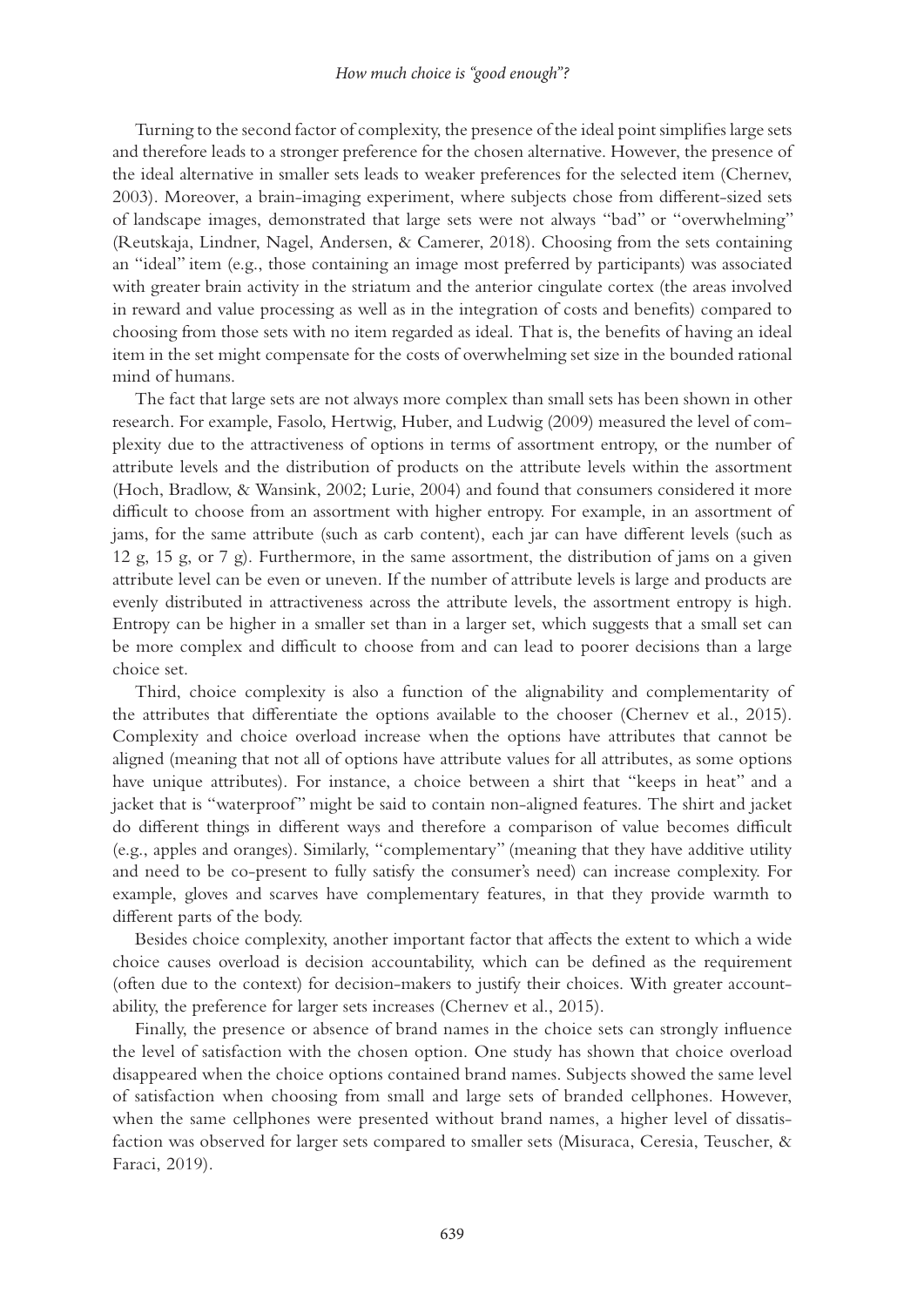Turning to the second factor of complexity, the presence of the ideal point simplifies large sets and therefore leads to a stronger preference for the chosen alternative. However, the presence of the ideal alternative in smaller sets leads to weaker preferences for the selected item (Chernev, 2003). Moreover, a brain-imaging experiment, where subjects chose from different-sized sets of landscape images, demonstrated that large sets were not always "bad" or "overwhelming" (Reutskaja, Lindner, Nagel, Andersen, & Camerer, 2018). Choosing from the sets containing an "ideal" item (e.g., those containing an image most preferred by participants) was associated with greater brain activity in the striatum and the anterior cingulate cortex (the areas involved in reward and value processing as well as in the integration of costs and benefits) compared to choosing from those sets with no item regarded as ideal. That is, the benefits of having an ideal item in the set might compensate for the costs of overwhelming set size in the bounded rational mind of humans.

The fact that large sets are not always more complex than small sets has been shown in other research. For example, Fasolo, Hertwig, Huber, and Ludwig (2009) measured the level of complexity due to the attractiveness of options in terms of assortment entropy, or the number of attribute levels and the distribution of products on the attribute levels within the assortment (Hoch, Bradlow, & Wansink, 2002; Lurie, 2004) and found that consumers considered it more difficult to choose from an assortment with higher entropy. For example, in an assortment of jams, for the same attribute (such as carb content), each jar can have different levels (such as 12 g, 15 g, or 7 g). Furthermore, in the same assortment, the distribution of jams on a given attribute level can be even or uneven. If the number of attribute levels is large and products are evenly distributed in attractiveness across the attribute levels, the assortment entropy is high. Entropy can be higher in a smaller set than in a larger set, which suggests that a small set can be more complex and difficult to choose from and can lead to poorer decisions than a large choice set.

Third, choice complexity is also a function of the alignability and complementarity of the attributes that differentiate the options available to the chooser (Chernev et al., 2015). Complexity and choice overload increase when the options have attributes that cannot be aligned (meaning that not all of options have attribute values for all attributes, as some options have unique attributes). For instance, a choice between a shirt that "keeps in heat" and a jacket that is "waterproof" might be said to contain non-aligned features. The shirt and jacket do different things in different ways and therefore a comparison of value becomes difficult (e.g., apples and oranges). Similarly, "complementary" (meaning that they have additive utility and need to be co-present to fully satisfy the consumer's need) can increase complexity. For example, gloves and scarves have complementary features, in that they provide warmth to different parts of the body.

Besides choice complexity, another important factor that affects the extent to which a wide choice causes overload is decision accountability, which can be defined as the requirement (often due to the context) for decision-makers to justify their choices. With greater accountability, the preference for larger sets increases (Chernev et al., 2015).

Finally, the presence or absence of brand names in the choice sets can strongly influence the level of satisfaction with the chosen option. One study has shown that choice overload disappeared when the choice options contained brand names. Subjects showed the same level of satisfaction when choosing from small and large sets of branded cellphones. However, when the same cellphones were presented without brand names, a higher level of dissatisfaction was observed for larger sets compared to smaller sets (Misuraca, Ceresia, Teuscher, & Faraci, 2019).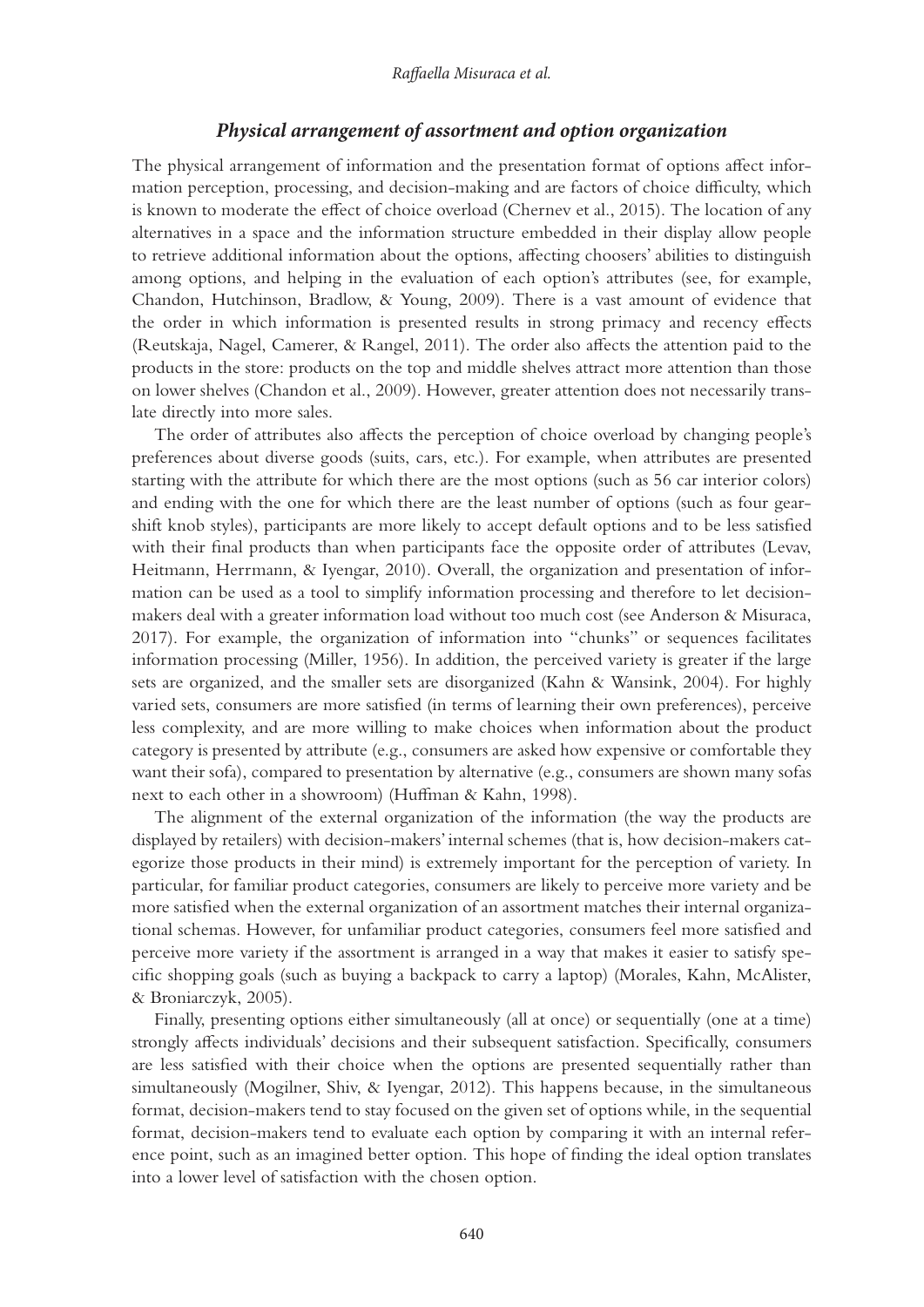#### *Physical arrangement of assortment and option organization*

The physical arrangement of information and the presentation format of options affect information perception, processing, and decision-making and are factors of choice difficulty, which is known to moderate the effect of choice overload (Chernev et al., 2015). The location of any alternatives in a space and the information structure embedded in their display allow people to retrieve additional information about the options, affecting choosers' abilities to distinguish among options, and helping in the evaluation of each option's attributes (see, for example, Chandon, Hutchinson, Bradlow, & Young, 2009). There is a vast amount of evidence that the order in which information is presented results in strong primacy and recency effects (Reutskaja, Nagel, Camerer, & Rangel, 2011). The order also affects the attention paid to the products in the store: products on the top and middle shelves attract more attention than those on lower shelves (Chandon et al., 2009). However, greater attention does not necessarily translate directly into more sales.

The order of attributes also affects the perception of choice overload by changing people's preferences about diverse goods (suits, cars, etc.). For example, when attributes are presented starting with the attribute for which there are the most options (such as 56 car interior colors) and ending with the one for which there are the least number of options (such as four gearshift knob styles), participants are more likely to accept default options and to be less satisfied with their final products than when participants face the opposite order of attributes (Levav, Heitmann, Herrmann, & Iyengar, 2010). Overall, the organization and presentation of information can be used as a tool to simplify information processing and therefore to let decisionmakers deal with a greater information load without too much cost (see Anderson & Misuraca, 2017). For example, the organization of information into "chunks" or sequences facilitates information processing (Miller, 1956). In addition, the perceived variety is greater if the large sets are organized, and the smaller sets are disorganized (Kahn & Wansink, 2004). For highly varied sets, consumers are more satisfied (in terms of learning their own preferences), perceive less complexity, and are more willing to make choices when information about the product category is presented by attribute (e.g., consumers are asked how expensive or comfortable they want their sofa), compared to presentation by alternative (e.g., consumers are shown many sofas next to each other in a showroom) (Huffman & Kahn, 1998).

The alignment of the external organization of the information (the way the products are displayed by retailers) with decision-makers' internal schemes (that is, how decision-makers categorize those products in their mind) is extremely important for the perception of variety. In particular, for familiar product categories, consumers are likely to perceive more variety and be more satisfied when the external organization of an assortment matches their internal organizational schemas. However, for unfamiliar product categories, consumers feel more satisfied and perceive more variety if the assortment is arranged in a way that makes it easier to satisfy specific shopping goals (such as buying a backpack to carry a laptop) (Morales, Kahn, McAlister, & Broniarczyk, 2005).

Finally, presenting options either simultaneously (all at once) or sequentially (one at a time) strongly affects individuals' decisions and their subsequent satisfaction. Specifically, consumers are less satisfied with their choice when the options are presented sequentially rather than simultaneously (Mogilner, Shiv, & Iyengar, 2012). This happens because, in the simultaneous format, decision-makers tend to stay focused on the given set of options while, in the sequential format, decision-makers tend to evaluate each option by comparing it with an internal reference point, such as an imagined better option. This hope of finding the ideal option translates into a lower level of satisfaction with the chosen option.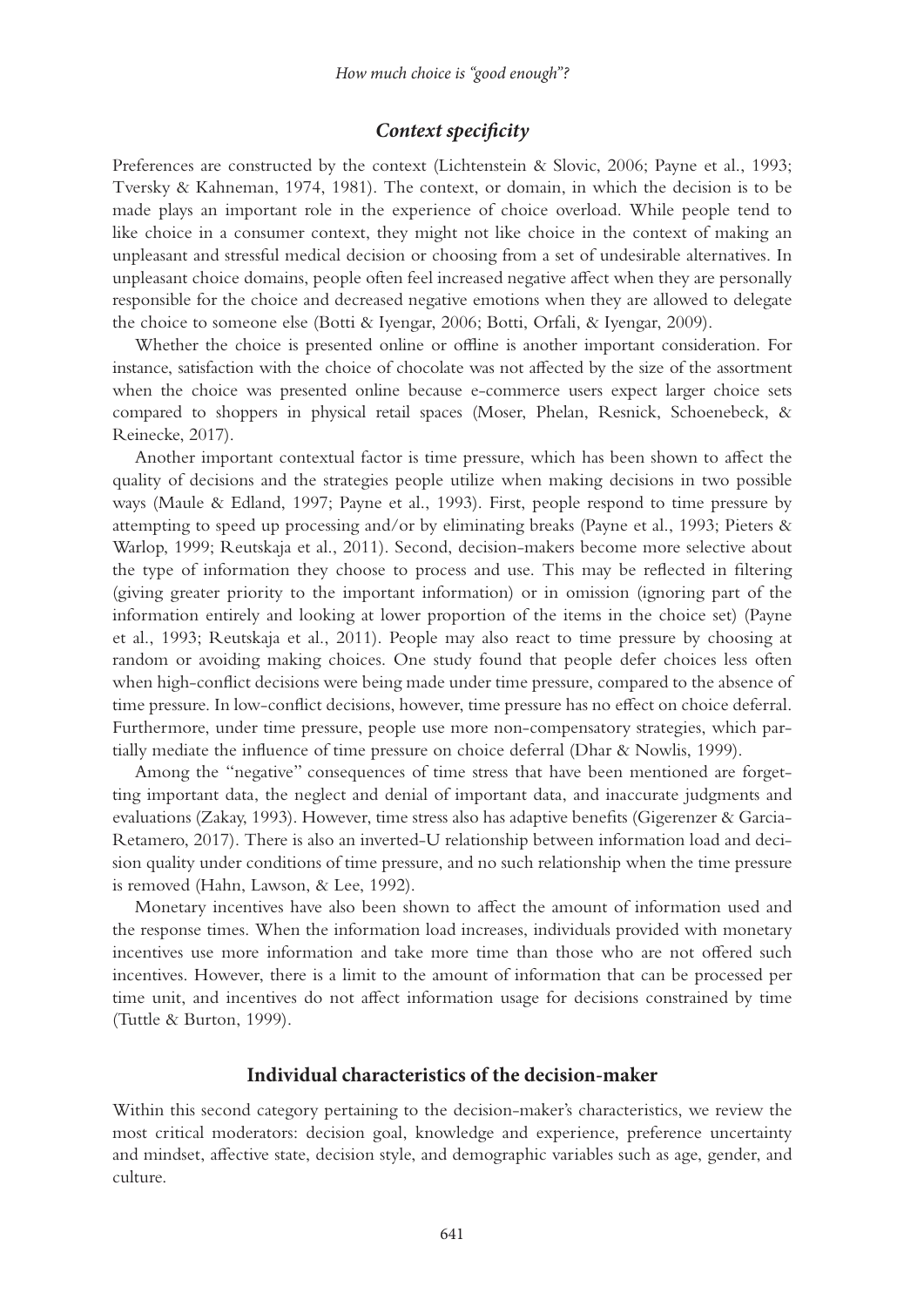# *Context specificity*

Preferences are constructed by the context (Lichtenstein & Slovic, 2006; Payne et al., 1993; Tversky & Kahneman, 1974, 1981). The context, or domain, in which the decision is to be made plays an important role in the experience of choice overload. While people tend to like choice in a consumer context, they might not like choice in the context of making an unpleasant and stressful medical decision or choosing from a set of undesirable alternatives. In unpleasant choice domains, people often feel increased negative affect when they are personally responsible for the choice and decreased negative emotions when they are allowed to delegate the choice to someone else (Botti & Iyengar, 2006; Botti, Orfali, & Iyengar, 2009).

Whether the choice is presented online or offline is another important consideration. For instance, satisfaction with the choice of chocolate was not affected by the size of the assortment when the choice was presented online because e-commerce users expect larger choice sets compared to shoppers in physical retail spaces (Moser, Phelan, Resnick, Schoenebeck, & Reinecke, 2017).

Another important contextual factor is time pressure, which has been shown to affect the quality of decisions and the strategies people utilize when making decisions in two possible ways (Maule & Edland, 1997; Payne et al., 1993). First, people respond to time pressure by attempting to speed up processing and/or by eliminating breaks (Payne et al., 1993; Pieters & Warlop, 1999; Reutskaja et al., 2011). Second, decision-makers become more selective about the type of information they choose to process and use. This may be reflected in filtering (giving greater priority to the important information) or in omission (ignoring part of the information entirely and looking at lower proportion of the items in the choice set) (Payne et al., 1993; Reutskaja et al., 2011). People may also react to time pressure by choosing at random or avoiding making choices. One study found that people defer choices less often when high-conflict decisions were being made under time pressure, compared to the absence of time pressure. In low-conflict decisions, however, time pressure has no effect on choice deferral. Furthermore, under time pressure, people use more non-compensatory strategies, which partially mediate the influence of time pressure on choice deferral (Dhar & Nowlis, 1999).

Among the "negative" consequences of time stress that have been mentioned are forgetting important data, the neglect and denial of important data, and inaccurate judgments and evaluations (Zakay, 1993). However, time stress also has adaptive benefits (Gigerenzer & Garcia-Retamero, 2017). There is also an inverted-U relationship between information load and decision quality under conditions of time pressure, and no such relationship when the time pressure is removed (Hahn, Lawson, & Lee, 1992).

Monetary incentives have also been shown to affect the amount of information used and the response times. When the information load increases, individuals provided with monetary incentives use more information and take more time than those who are not offered such incentives. However, there is a limit to the amount of information that can be processed per time unit, and incentives do not affect information usage for decisions constrained by time (Tuttle & Burton, 1999).

#### **Individual characteristics of the decision-maker**

Within this second category pertaining to the decision-maker's characteristics, we review the most critical moderators: decision goal, knowledge and experience, preference uncertainty and mindset, affective state, decision style, and demographic variables such as age, gender, and culture.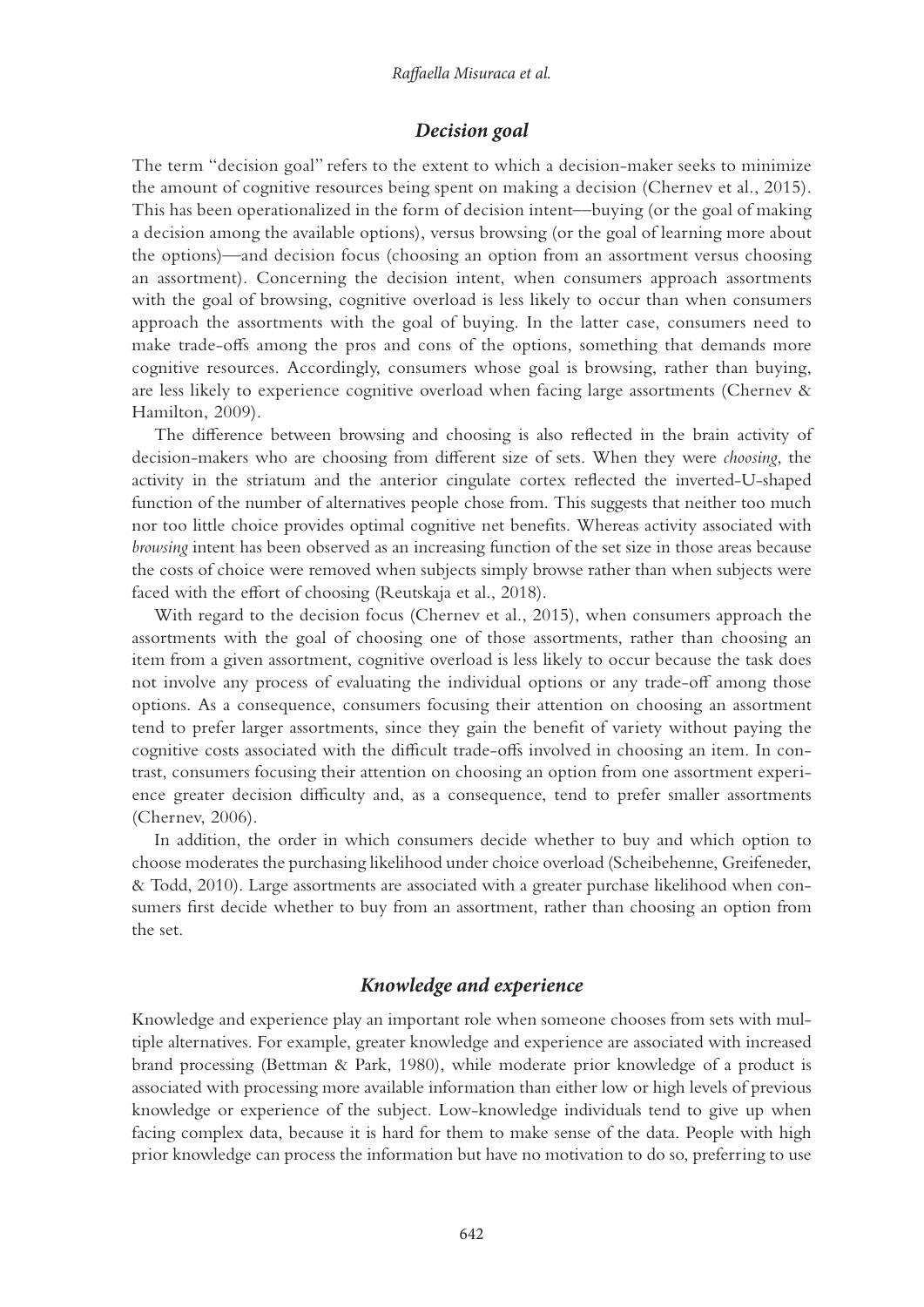#### *Raffaella Misuraca et al.*

#### *Decision goal*

The term "decision goal" refers to the extent to which a decision-maker seeks to minimize the amount of cognitive resources being spent on making a decision (Chernev et al., 2015). This has been operationalized in the form of decision intent––buying (or the goal of making a decision among the available options), versus browsing (or the goal of learning more about the options)––and decision focus (choosing an option from an assortment versus choosing an assortment). Concerning the decision intent, when consumers approach assortments with the goal of browsing, cognitive overload is less likely to occur than when consumers approach the assortments with the goal of buying. In the latter case, consumers need to make trade-offs among the pros and cons of the options, something that demands more cognitive resources. Accordingly, consumers whose goal is browsing, rather than buying, are less likely to experience cognitive overload when facing large assortments (Chernev & Hamilton, 2009).

The difference between browsing and choosing is also reflected in the brain activity of decision-makers who are choosing from different size of sets. When they were *choosing*, the activity in the striatum and the anterior cingulate cortex reflected the inverted-U-shaped function of the number of alternatives people chose from. This suggests that neither too much nor too little choice provides optimal cognitive net benefits. Whereas activity associated with *browsing* intent has been observed as an increasing function of the set size in those areas because the costs of choice were removed when subjects simply browse rather than when subjects were faced with the effort of choosing (Reutskaja et al., 2018).

With regard to the decision focus (Chernev et al., 2015), when consumers approach the assortments with the goal of choosing one of those assortments, rather than choosing an item from a given assortment, cognitive overload is less likely to occur because the task does not involve any process of evaluating the individual options or any trade-off among those options. As a consequence, consumers focusing their attention on choosing an assortment tend to prefer larger assortments, since they gain the benefit of variety without paying the cognitive costs associated with the difficult trade-offs involved in choosing an item. In contrast, consumers focusing their attention on choosing an option from one assortment experience greater decision difficulty and, as a consequence, tend to prefer smaller assortments (Chernev, 2006).

In addition, the order in which consumers decide whether to buy and which option to choose moderates the purchasing likelihood under choice overload (Scheibehenne, Greifeneder, & Todd, 2010). Large assortments are associated with a greater purchase likelihood when consumers first decide whether to buy from an assortment, rather than choosing an option from the set.

# *Knowledge and experience*

Knowledge and experience play an important role when someone chooses from sets with multiple alternatives. For example, greater knowledge and experience are associated with increased brand processing (Bettman & Park, 1980), while moderate prior knowledge of a product is associated with processing more available information than either low or high levels of previous knowledge or experience of the subject. Low-knowledge individuals tend to give up when facing complex data, because it is hard for them to make sense of the data. People with high prior knowledge can process the information but have no motivation to do so, preferring to use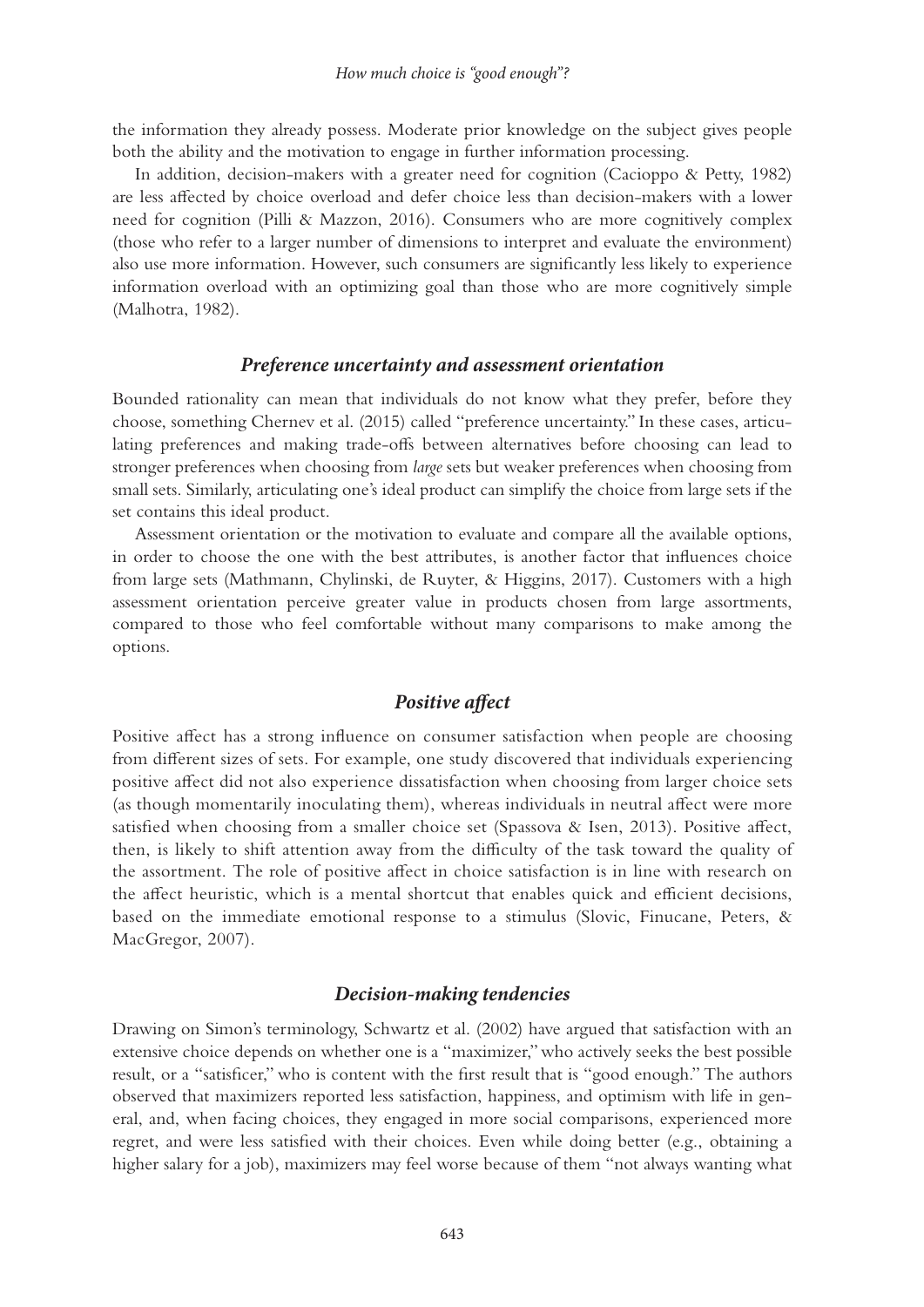the information they already possess. Moderate prior knowledge on the subject gives people both the ability and the motivation to engage in further information processing.

In addition, decision-makers with a greater need for cognition (Cacioppo & Petty, 1982) are less affected by choice overload and defer choice less than decision-makers with a lower need for cognition (Pilli & Mazzon, 2016). Consumers who are more cognitively complex (those who refer to a larger number of dimensions to interpret and evaluate the environment) also use more information. However, such consumers are significantly less likely to experience information overload with an optimizing goal than those who are more cognitively simple (Malhotra, 1982).

#### *Preference uncertainty and assessment orientation*

Bounded rationality can mean that individuals do not know what they prefer, before they choose, something Chernev et al. (2015) called "preference uncertainty." In these cases, articulating preferences and making trade-offs between alternatives before choosing can lead to stronger preferences when choosing from *large* sets but weaker preferences when choosing from small sets. Similarly, articulating one's ideal product can simplify the choice from large sets if the set contains this ideal product.

Assessment orientation or the motivation to evaluate and compare all the available options, in order to choose the one with the best attributes, is another factor that influences choice from large sets (Mathmann, Chylinski, de Ruyter, & Higgins, 2017). Customers with a high assessment orientation perceive greater value in products chosen from large assortments, compared to those who feel comfortable without many comparisons to make among the options.

# *Positive affect*

Positive affect has a strong influence on consumer satisfaction when people are choosing from different sizes of sets. For example, one study discovered that individuals experiencing positive affect did not also experience dissatisfaction when choosing from larger choice sets (as though momentarily inoculating them), whereas individuals in neutral affect were more satisfied when choosing from a smaller choice set (Spassova & Isen, 2013). Positive affect, then, is likely to shift attention away from the difficulty of the task toward the quality of the assortment. The role of positive affect in choice satisfaction is in line with research on the affect heuristic, which is a mental shortcut that enables quick and efficient decisions, based on the immediate emotional response to a stimulus (Slovic, Finucane, Peters, & MacGregor, 2007).

#### *Decision-making tendencies*

Drawing on Simon's terminology, Schwartz et al. (2002) have argued that satisfaction with an extensive choice depends on whether one is a "maximizer," who actively seeks the best possible result, or a "satisficer," who is content with the first result that is "good enough." The authors observed that maximizers reported less satisfaction, happiness, and optimism with life in general, and, when facing choices, they engaged in more social comparisons, experienced more regret, and were less satisfied with their choices. Even while doing better (e.g., obtaining a higher salary for a job), maximizers may feel worse because of them "not always wanting what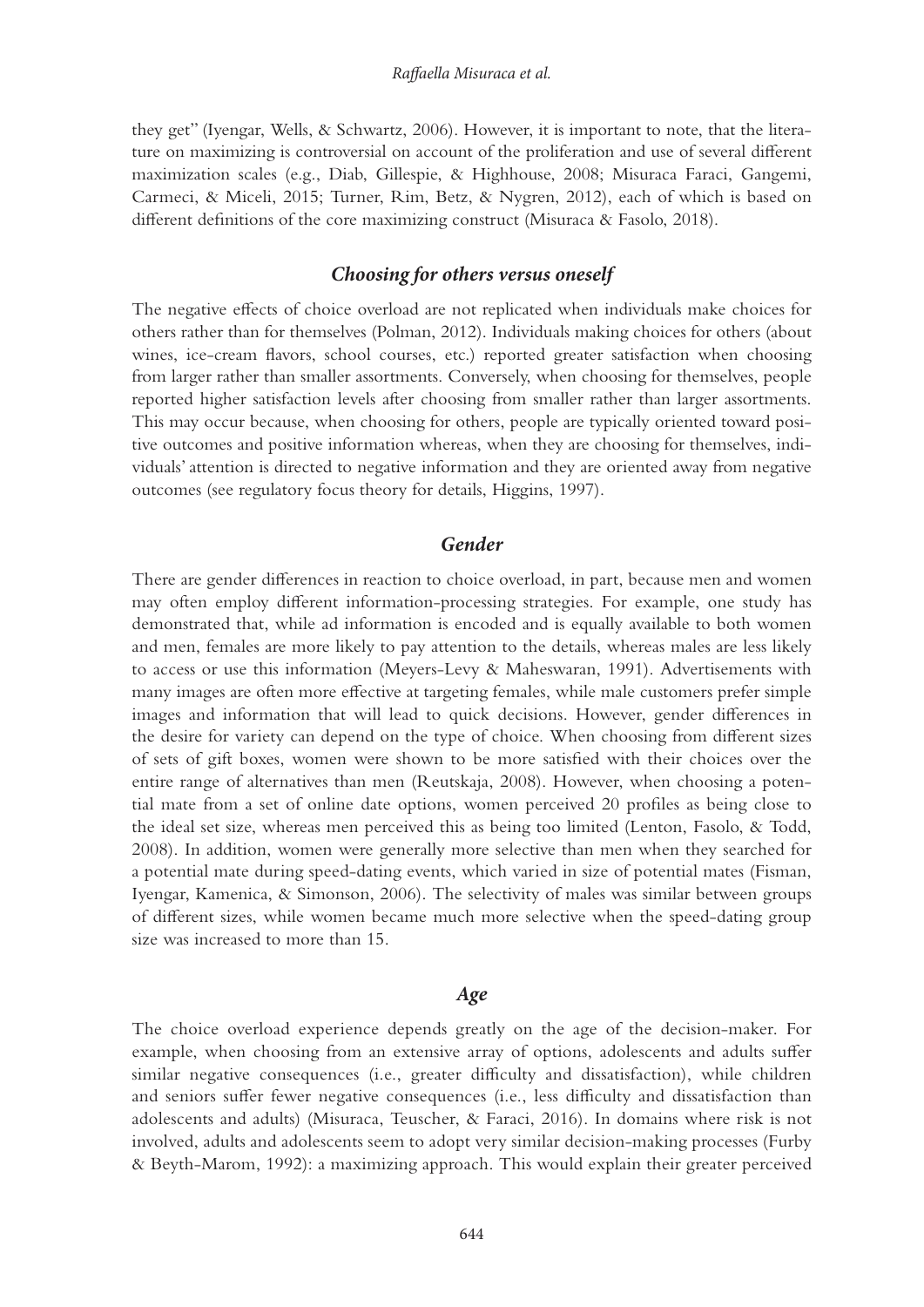they get" (Iyengar, Wells, & Schwartz, 2006). However, it is important to note, that the literature on maximizing is controversial on account of the proliferation and use of several different maximization scales (e.g., Diab, Gillespie, & Highhouse, 2008; Misuraca Faraci, Gangemi, Carmeci, & Miceli, 2015; Turner, Rim, Betz, & Nygren, 2012), each of which is based on different definitions of the core maximizing construct (Misuraca & Fasolo, 2018).

# *Choosing for others versus oneself*

The negative effects of choice overload are not replicated when individuals make choices for others rather than for themselves (Polman, 2012). Individuals making choices for others (about wines, ice-cream flavors, school courses, etc.) reported greater satisfaction when choosing from larger rather than smaller assortments. Conversely, when choosing for themselves, people reported higher satisfaction levels after choosing from smaller rather than larger assortments. This may occur because, when choosing for others, people are typically oriented toward positive outcomes and positive information whereas, when they are choosing for themselves, individuals' attention is directed to negative information and they are oriented away from negative outcomes (see regulatory focus theory for details, Higgins, 1997).

# *Gender*

There are gender differences in reaction to choice overload, in part, because men and women may often employ different information-processing strategies. For example, one study has demonstrated that, while ad information is encoded and is equally available to both women and men, females are more likely to pay attention to the details, whereas males are less likely to access or use this information (Meyers-Levy & Maheswaran, 1991). Advertisements with many images are often more effective at targeting females, while male customers prefer simple images and information that will lead to quick decisions. However, gender differences in the desire for variety can depend on the type of choice. When choosing from different sizes of sets of gift boxes, women were shown to be more satisfied with their choices over the entire range of alternatives than men (Reutskaja, 2008). However, when choosing a potential mate from a set of online date options, women perceived 20 profiles as being close to the ideal set size, whereas men perceived this as being too limited (Lenton, Fasolo, & Todd, 2008). In addition, women were generally more selective than men when they searched for a potential mate during speed-dating events, which varied in size of potential mates (Fisman, Iyengar, Kamenica, & Simonson, 2006). The selectivity of males was similar between groups of different sizes, while women became much more selective when the speed-dating group size was increased to more than 15.

# *Age*

The choice overload experience depends greatly on the age of the decision-maker. For example, when choosing from an extensive array of options, adolescents and adults suffer similar negative consequences (i.e., greater difficulty and dissatisfaction), while children and seniors suffer fewer negative consequences (i.e., less difficulty and dissatisfaction than adolescents and adults) (Misuraca, Teuscher, & Faraci, 2016). In domains where risk is not involved, adults and adolescents seem to adopt very similar decision-making processes (Furby & Beyth-Marom, 1992): a maximizing approach. This would explain their greater perceived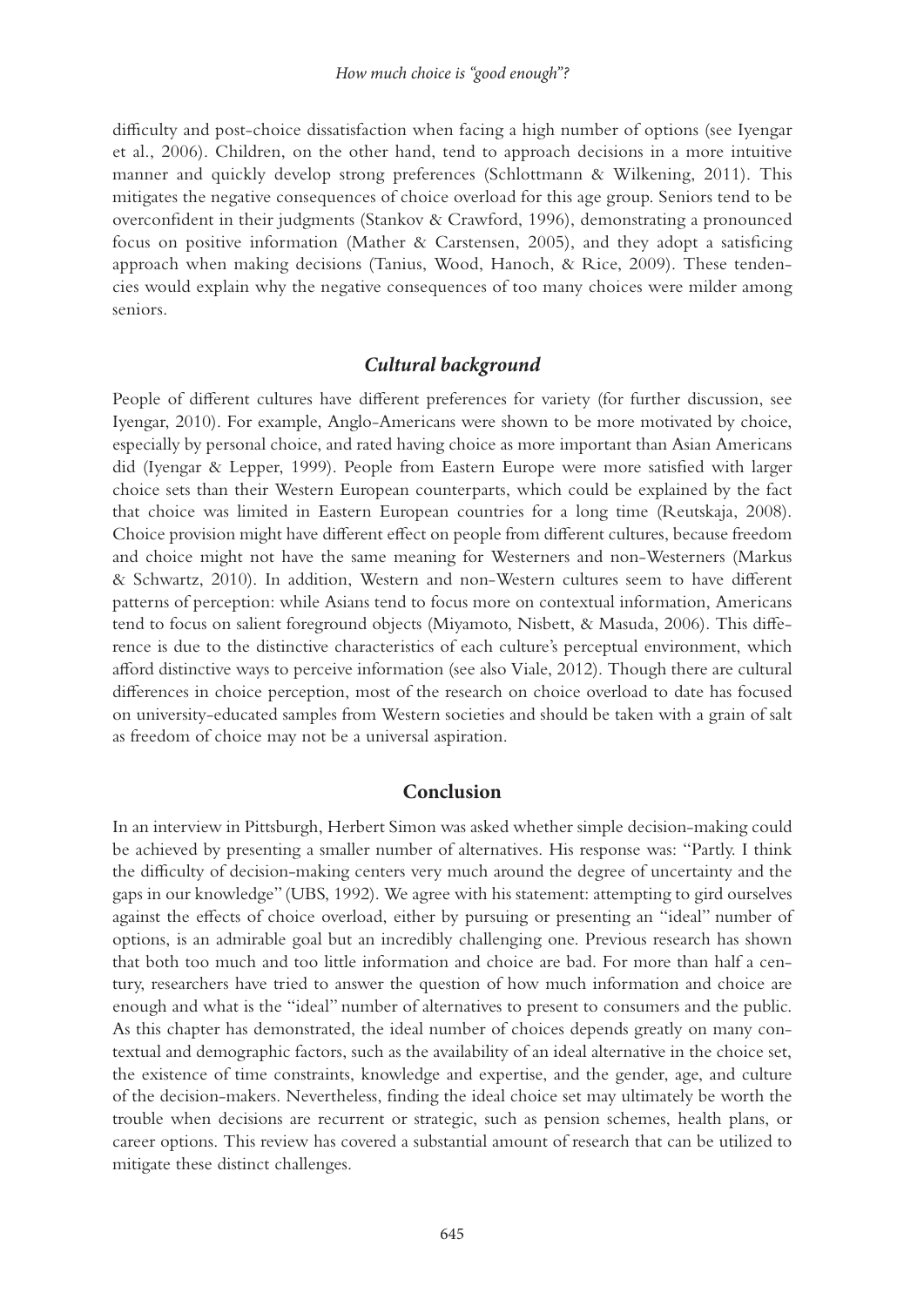difficulty and post-choice dissatisfaction when facing a high number of options (see Iyengar et al., 2006). Children, on the other hand, tend to approach decisions in a more intuitive manner and quickly develop strong preferences (Schlottmann & Wilkening, 2011). This mitigates the negative consequences of choice overload for this age group. Seniors tend to be overconfident in their judgments (Stankov & Crawford, 1996), demonstrating a pronounced focus on positive information (Mather & Carstensen, 2005), and they adopt a satisficing approach when making decisions (Tanius, Wood, Hanoch, & Rice, 2009). These tendencies would explain why the negative consequences of too many choices were milder among seniors.

# *Cultural background*

People of different cultures have different preferences for variety (for further discussion, see Iyengar, 2010). For example, Anglo-Americans were shown to be more motivated by choice, especially by personal choice, and rated having choice as more important than Asian Americans did (Iyengar & Lepper, 1999). People from Eastern Europe were more satisfied with larger choice sets than their Western European counterparts, which could be explained by the fact that choice was limited in Eastern European countries for a long time (Reutskaja, 2008). Choice provision might have different effect on people from different cultures, because freedom and choice might not have the same meaning for Westerners and non-Westerners (Markus & Schwartz, 2010). In addition, Western and non-Western cultures seem to have different patterns of perception: while Asians tend to focus more on contextual information, Americans tend to focus on salient foreground objects (Miyamoto, Nisbett, & Masuda, 2006). This difference is due to the distinctive characteristics of each culture's perceptual environment, which afford distinctive ways to perceive information (see also Viale, 2012). Though there are cultural differences in choice perception, most of the research on choice overload to date has focused on university-educated samples from Western societies and should be taken with a grain of salt as freedom of choice may not be a universal aspiration.

#### **Conclusion**

In an interview in Pittsburgh, Herbert Simon was asked whether simple decision-making could be achieved by presenting a smaller number of alternatives. His response was: "Partly. I think the difficulty of decision-making centers very much around the degree of uncertainty and the gaps in our knowledge" (UBS, 1992). We agree with his statement: attempting to gird ourselves against the effects of choice overload, either by pursuing or presenting an "ideal" number of options, is an admirable goal but an incredibly challenging one. Previous research has shown that both too much and too little information and choice are bad. For more than half a century, researchers have tried to answer the question of how much information and choice are enough and what is the "ideal" number of alternatives to present to consumers and the public. As this chapter has demonstrated, the ideal number of choices depends greatly on many contextual and demographic factors, such as the availability of an ideal alternative in the choice set, the existence of time constraints, knowledge and expertise, and the gender, age, and culture of the decision-makers. Nevertheless, finding the ideal choice set may ultimately be worth the trouble when decisions are recurrent or strategic, such as pension schemes, health plans, or career options. This review has covered a substantial amount of research that can be utilized to mitigate these distinct challenges.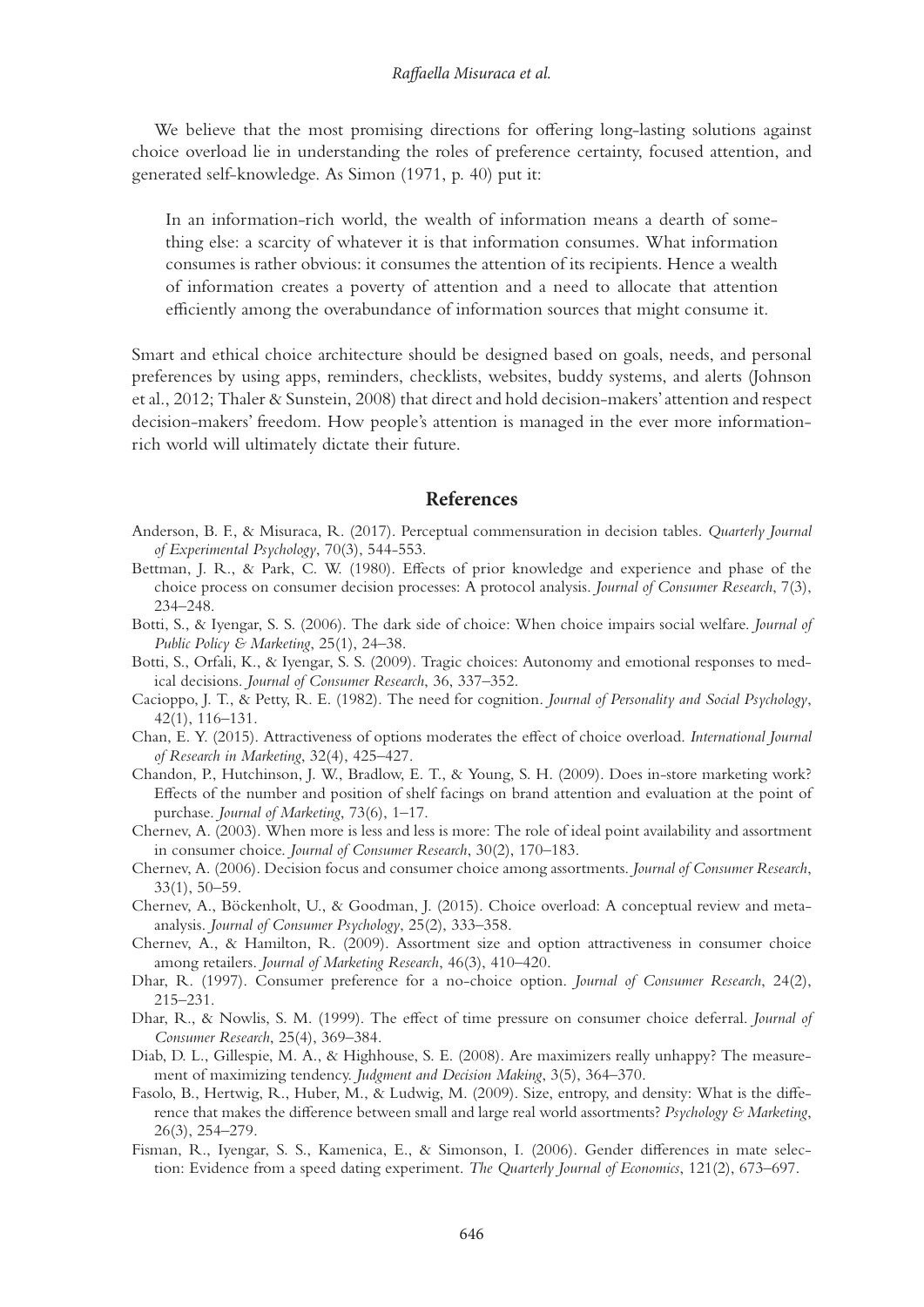#### *Raffaella Misuraca et al.*

We believe that the most promising directions for offering long-lasting solutions against choice overload lie in understanding the roles of preference certainty, focused attention, and generated self-knowledge. As Simon (1971, p. 40) put it:

In an information-rich world, the wealth of information means a dearth of something else: a scarcity of whatever it is that information consumes. What information consumes is rather obvious: it consumes the attention of its recipients. Hence a wealth of information creates a poverty of attention and a need to allocate that attention efficiently among the overabundance of information sources that might consume it.

Smart and ethical choice architecture should be designed based on goals, needs, and personal preferences by using apps, reminders, checklists, websites, buddy systems, and alerts (Johnson et al., 2012; Thaler & Sunstein, 2008) that direct and hold decision-makers' attention and respect decision-makers' freedom. How people's attention is managed in the ever more informationrich world will ultimately dictate their future.

## **References**

- Anderson, B. F., & Misuraca, R. (2017). Perceptual commensuration in decision tables. *Quarterly Journal of Experimental Psychology*, 70(3), 544-553.
- Bettman, J. R., & Park, C. W. (1980). Effects of prior knowledge and experience and phase of the choice process on consumer decision processes: A protocol analysis. *Journal of Consumer Research*, 7(3), 234–248.
- Botti, S., & Iyengar, S. S. (2006). The dark side of choice: When choice impairs social welfare. *Journal of Public Policy & Marketing*, 25(1), 24–38.
- Botti, S., Orfali, K., & Iyengar, S. S. (2009). Tragic choices: Autonomy and emotional responses to medical decisions. *Journal of Consumer Research*, 36, 337–352.
- Cacioppo, J. T., & Petty, R. E. (1982). The need for cognition. *Journal of Personality and Social Psychology*, 42(1), 116–131.
- Chan, E. Y. (2015). Attractiveness of options moderates the effect of choice overload. *International Journal of Research in Marketing*, 32(4), 425–427.
- Chandon, P., Hutchinson, J. W., Bradlow, E. T., & Young, S. H. (2009). Does in-store marketing work? Effects of the number and position of shelf facings on brand attention and evaluation at the point of purchase. *Journal of Marketing*, 73(6), 1–17.
- Chernev, A. (2003). When more is less and less is more: The role of ideal point availability and assortment in consumer choice. *Journal of Consumer Research*, 30(2), 170–183.
- Chernev, A. (2006). Decision focus and consumer choice among assortments. *Journal of Consumer Research*, 33(1), 50–59.
- Chernev, A., Böckenholt, U., & Goodman, J. (2015). Choice overload: A conceptual review and metaanalysis. *Journal of Consumer Psychology*, 25(2), 333–358.
- Chernev, A., & Hamilton, R. (2009). Assortment size and option attractiveness in consumer choice among retailers. *Journal of Marketing Research*, 46(3), 410–420.
- Dhar, R. (1997). Consumer preference for a no-choice option. *Journal of Consumer Research*, 24(2), 215–231.
- Dhar, R., & Nowlis, S. M. (1999). The effect of time pressure on consumer choice deferral. *Journal of Consumer Research*, 25(4), 369–384.
- Diab, D. L., Gillespie, M. A., & Highhouse, S. E. (2008). Are maximizers really unhappy? The measurement of maximizing tendency. *Judgment and Decision Making*, 3(5), 364–370.
- Fasolo, B., Hertwig, R., Huber, M., & Ludwig, M. (2009). Size, entropy, and density: What is the difference that makes the difference between small and large real world assortments? *Psychology & Marketing*, 26(3), 254–279.
- Fisman, R., Iyengar, S. S., Kamenica, E., & Simonson, I. (2006). Gender differences in mate selection: Evidence from a speed dating experiment. *The Quarterly Journal of Economics*, 121(2), 673–697.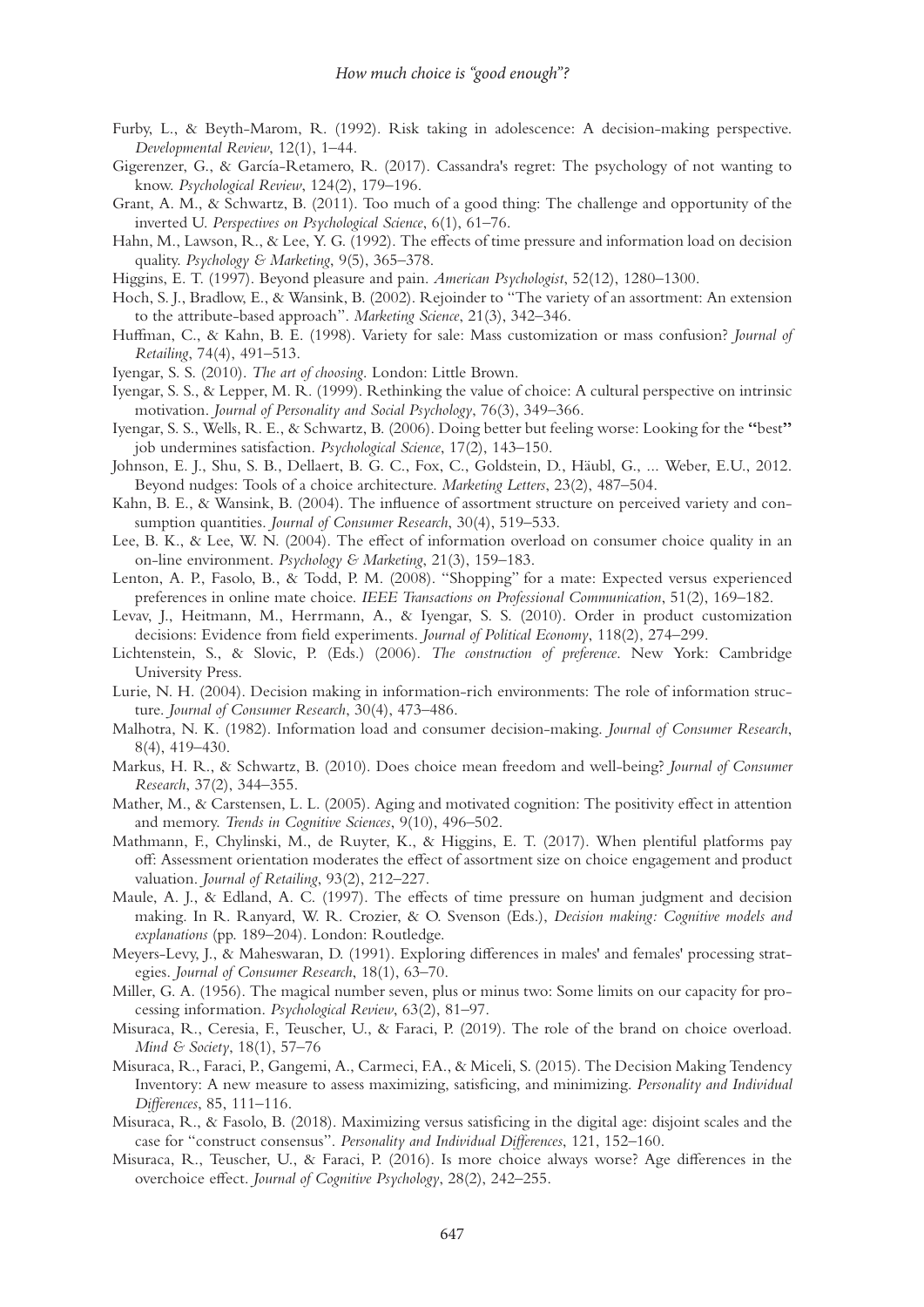- Furby, L., & Beyth-Marom, R. (1992). Risk taking in adolescence: A decision-making perspective. *Developmental Review*, 12(1), 1–44.
- Gigerenzer, G., & García-Retamero, R. (2017). Cassandra's regret: The psychology of not wanting to know. *Psychological Review*, 124(2), 179–196.
- Grant, A. M., & Schwartz, B. (2011). Too much of a good thing: The challenge and opportunity of the inverted U. *Perspectives on Psychological Science*, 6(1), 61–76.
- Hahn, M., Lawson, R., & Lee, Y. G. (1992). The effects of time pressure and information load on decision quality. *Psychology & Marketing*, 9(5), 365–378.
- Higgins, E. T. (1997). Beyond pleasure and pain. *American Psychologist*, 52(12), 1280–1300.
- Hoch, S. J., Bradlow, E., & Wansink, B. (2002). Rejoinder to "The variety of an assortment: An extension to the attribute-based approach". *Marketing Science*, 21(3), 342–346.
- Huffman, C., & Kahn, B. E. (1998). Variety for sale: Mass customization or mass confusion? *Journal of Retailing*, 74(4), 491–513.
- Iyengar, S. S. (2010). *The art of choosing*. London: Little Brown.
- Iyengar, S. S., & Lepper, M. R. (1999). Rethinking the value of choice: A cultural perspective on intrinsic motivation. *Journal of Personality and Social Psychology*, 76(3), 349–366.
- Iyengar, S. S., Wells, R. E., & Schwartz, B. (2006). Doing better but feeling worse: Looking for the **"**best**"** job undermines satisfaction. *Psychological Science*, 17(2), 143–150.
- Johnson, E. J., Shu, S. B., Dellaert, B. G. C., Fox, C., Goldstein, D., Häubl, G., ... Weber, E.U., 2012. Beyond nudges: Tools of a choice architecture. *Marketing Letters*, 23(2), 487–504.
- Kahn, B. E., & Wansink, B. (2004). The influence of assortment structure on perceived variety and consumption quantities. *Journal of Consumer Research*, 30(4), 519–533.
- Lee, B. K., & Lee, W. N. (2004). The effect of information overload on consumer choice quality in an on-line environment. *Psychology & Marketing*, 21(3), 159–183.
- Lenton, A. P., Fasolo, B., & Todd, P. M. (2008). "Shopping" for a mate: Expected versus experienced preferences in online mate choice. *IEEE Transactions on Professional Communication*, 51(2), 169–182.
- Levav, J., Heitmann, M., Herrmann, A., & Iyengar, S. S. (2010). Order in product customization decisions: Evidence from field experiments. *Journal of Political Economy*, 118(2), 274–299.
- Lichtenstein, S., & Slovic, P. (Eds.) (2006). *The construction of preference*. New York: Cambridge University Press.
- Lurie, N. H. (2004). Decision making in information-rich environments: The role of information structure. *Journal of Consumer Research*, 30(4), 473–486.
- Malhotra, N. K. (1982). Information load and consumer decision-making. *Journal of Consumer Research*, 8(4), 419–430.
- Markus, H. R., & Schwartz, B. (2010). Does choice mean freedom and well-being? *Journal of Consumer Research*, 37(2), 344–355.
- Mather, M., & Carstensen, L. L. (2005). Aging and motivated cognition: The positivity effect in attention and memory. *Trends in Cognitive Sciences*, 9(10), 496–502.
- Mathmann, F., Chylinski, M., de Ruyter, K., & Higgins, E. T. (2017). When plentiful platforms pay off: Assessment orientation moderates the effect of assortment size on choice engagement and product valuation. *Journal of Retailing*, 93(2), 212–227.
- Maule, A. J., & Edland, A. C. (1997). The effects of time pressure on human judgment and decision making. In R. Ranyard, W. R. Crozier, & O. Svenson (Eds.), *Decision making: Cognitive models and explanations* (pp. 189–204). London: Routledge.
- Meyers-Levy, J., & Maheswaran, D. (1991). Exploring differences in males' and females' processing strategies. *Journal of Consumer Research*, 18(1), 63–70.
- Miller, G. A. (1956). The magical number seven, plus or minus two: Some limits on our capacity for processing information. *Psychological Review*, 63(2), 81–97.
- Misuraca, R., Ceresia, F., Teuscher, U., & Faraci, P. (2019). The role of the brand on choice overload. *Mind & Society*, 18(1), 57–76
- Misuraca, R., Faraci, P., Gangemi, A., Carmeci, F.A., & Miceli, S. (2015). The Decision Making Tendency Inventory: A new measure to assess maximizing, satisficing, and minimizing. *Personality and Individual Differences*, 85, 111–116.
- Misuraca, R., & Fasolo, B. (2018). Maximizing versus satisficing in the digital age: disjoint scales and the case for "construct consensus". *Personality and Individual Differences*, 121, 152–160.
- Misuraca, R., Teuscher, U., & Faraci, P. (2016). Is more choice always worse? Age differences in the overchoice effect. *Journal of Cognitive Psychology*, 28(2), 242–255.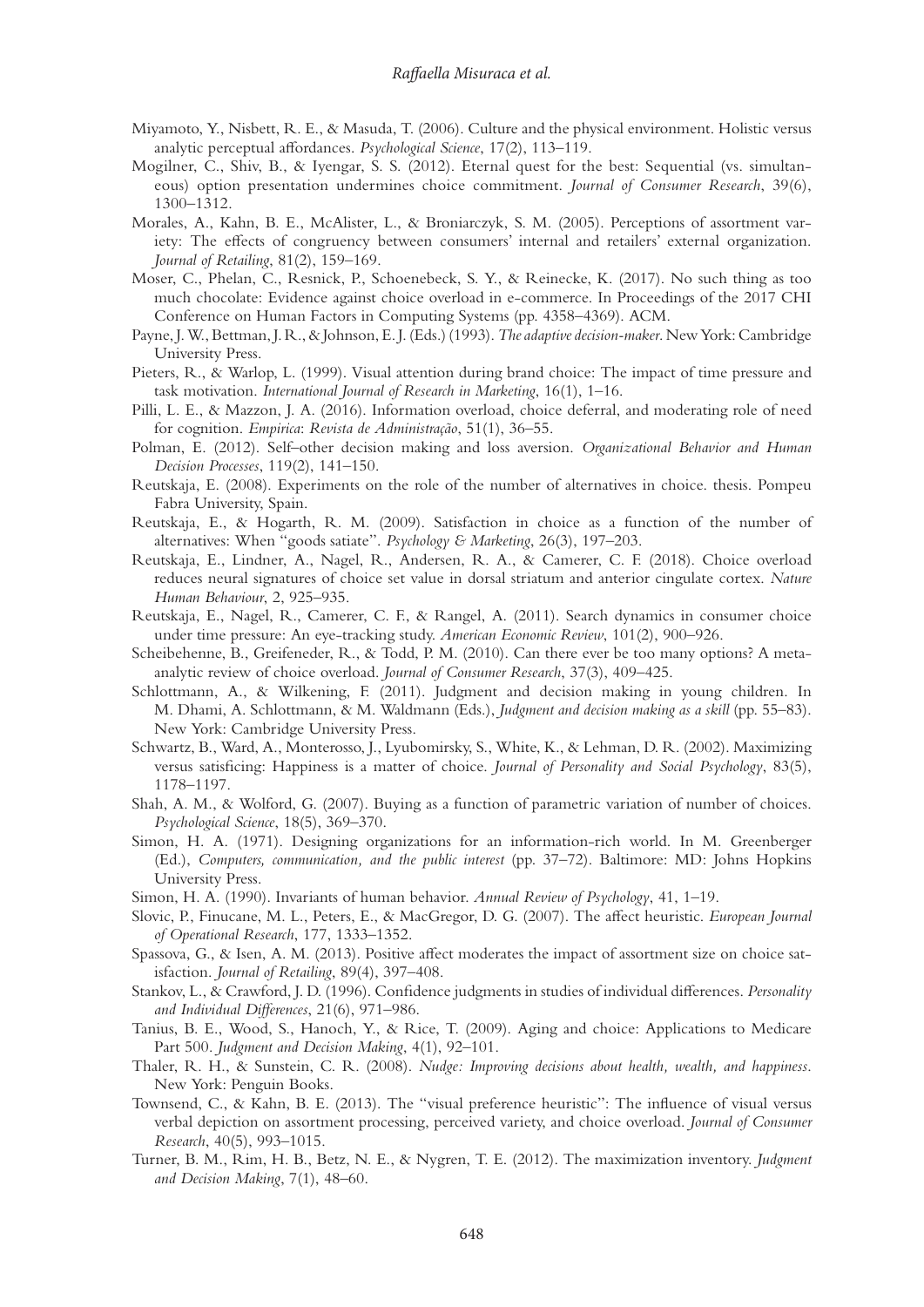- Miyamoto, Y., Nisbett, R. E., & Masuda, T. (2006). Culture and the physical environment. Holistic versus analytic perceptual affordances. *Psychological Science*, 17(2), 113–119.
- Mogilner, C., Shiv, B., & Iyengar, S. S. (2012). Eternal quest for the best: Sequential (vs. simultaneous) option presentation undermines choice commitment. *Journal of Consumer Research*, 39(6), 1300–1312.
- Morales, A., Kahn, B. E., McAlister, L., & Broniarczyk, S. M. (2005). Perceptions of assortment variety: The effects of congruency between consumers' internal and retailers' external organization. *Journal of Retailing*, 81(2), 159–169.
- Moser, C., Phelan, C., Resnick, P., Schoenebeck, S. Y., & Reinecke, K. (2017). No such thing as too much chocolate: Evidence against choice overload in e-commerce. In Proceedings of the 2017 CHI Conference on Human Factors in Computing Systems (pp. 4358–4369). ACM.
- Payne, J. W., Bettman, J. R., & Johnson, E. J. (Eds.) (1993). *The adaptive decision-maker*. New York: Cambridge University Press.
- Pieters, R., & Warlop, L. (1999). Visual attention during brand choice: The impact of time pressure and task motivation. *International Journal of Research in Marketing*, 16(1), 1–16.
- Pilli, L. E., & Mazzon, J. A. (2016). Information overload, choice deferral, and moderating role of need for cognition. *Empirica*: *Revista de Administração*, 51(1), 36–55.
- Polman, E. (2012). Self–other decision making and loss aversion. *Organizational Behavior and Human Decision Processes*, 119(2), 141–150.
- Reutskaja, E. (2008). Experiments on the role of the number of alternatives in choice. thesis. Pompeu Fabra University, Spain.
- Reutskaja, E., & Hogarth, R. M. (2009). Satisfaction in choice as a function of the number of alternatives: When "goods satiate". *Psychology & Marketing*, 26(3), 197–203.
- Reutskaja, E., Lindner, A., Nagel, R., Andersen, R. A., & Camerer, C. F. (2018). Choice overload reduces neural signatures of choice set value in dorsal striatum and anterior cingulate cortex. *Nature Human Behaviour*, 2, 925–935.
- Reutskaja, E., Nagel, R., Camerer, C. F., & Rangel, A. (2011). Search dynamics in consumer choice under time pressure: An eye-tracking study. *American Economic Review*, 101(2), 900–926.
- Scheibehenne, B., Greifeneder, R., & Todd, P. M. (2010). Can there ever be too many options? A metaanalytic review of choice overload. *Journal of Consumer Research*, 37(3), 409–425.
- Schlottmann, A., & Wilkening, F. (2011). Judgment and decision making in young children. In M. Dhami, A. Schlottmann, & M. Waldmann (Eds.), *Judgment and decision making as a skill* (pp. 55–83). New York: Cambridge University Press.
- Schwartz, B., Ward, A., Monterosso, J., Lyubomirsky, S., White, K., & Lehman, D. R. (2002). Maximizing versus satisficing: Happiness is a matter of choice. *Journal of Personality and Social Psychology*, 83(5), 1178–1197.
- Shah, A. M., & Wolford, G. (2007). Buying as a function of parametric variation of number of choices. *Psychological Science*, 18(5), 369–370.
- Simon, H. A. (1971). Designing organizations for an information-rich world. In M. Greenberger (Ed.), *Computers, communication, and the public interest* (pp. 37–72). Baltimore: MD: Johns Hopkins University Press.
- Simon, H. A. (1990). Invariants of human behavior. *Annual Review of Psychology*, 41, 1–19.
- Slovic, P., Finucane, M. L., Peters, E., & MacGregor, D. G. (2007). The affect heuristic. *European Journal of Operational Research*, 177, 1333–1352.
- Spassova, G., & Isen, A. M. (2013). Positive affect moderates the impact of assortment size on choice satisfaction. *Journal of Retailing*, 89(4), 397–408.
- Stankov, L., & Crawford, J. D. (1996). Confidence judgments in studies of individual differences. *Personality and Individual Differences*, 21(6), 971–986.
- Tanius, B. E., Wood, S., Hanoch, Y., & Rice, T. (2009). Aging and choice: Applications to Medicare Part 500. *Judgment and Decision Making*, 4(1), 92–101.
- Thaler, R. H., & Sunstein, C. R. (2008). *Nudge: Improving decisions about health, wealth, and happiness*. New York: Penguin Books.
- Townsend, C., & Kahn, B. E. (2013). The "visual preference heuristic": The influence of visual versus verbal depiction on assortment processing, perceived variety, and choice overload. *Journal of Consumer Research*, 40(5), 993–1015.
- Turner, B. M., Rim, H. B., Betz, N. E., & Nygren, T. E. (2012). The maximization inventory. *Judgment and Decision Making*, 7(1), 48–60.